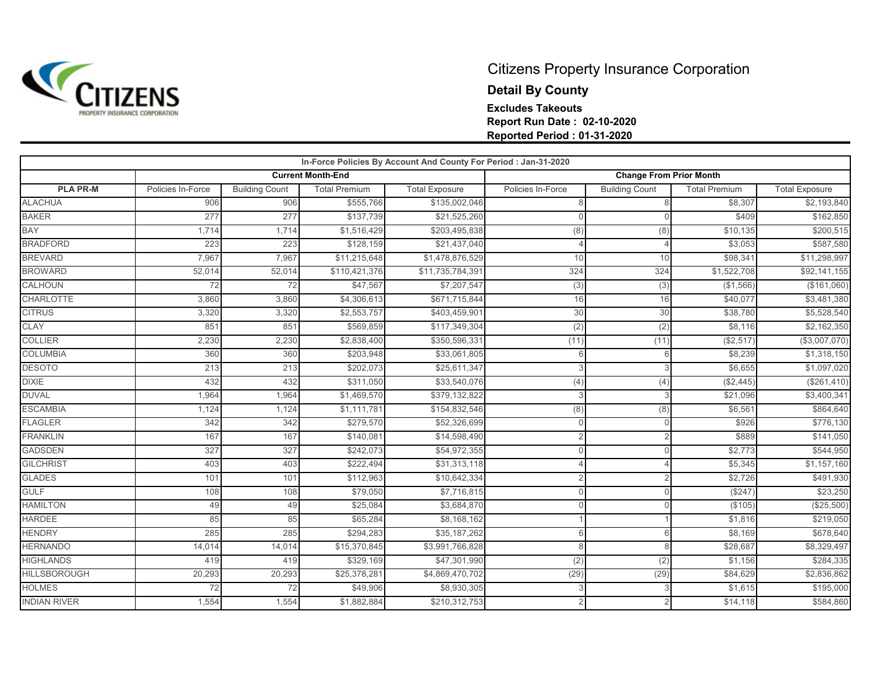

## Citizens Property Insurance Corporation **Detail By County Excludes Takeouts Report Run Date : 02-10-2020 Reported Period : 01-31-2020**

|                     | In-Force Policies By Account And County For Period : Jan-31-2020 |                       |                          |                       |                   |                                |                      |                       |  |  |
|---------------------|------------------------------------------------------------------|-----------------------|--------------------------|-----------------------|-------------------|--------------------------------|----------------------|-----------------------|--|--|
|                     |                                                                  |                       | <b>Current Month-End</b> |                       |                   | <b>Change From Prior Month</b> |                      |                       |  |  |
| <b>PLA PR-M</b>     | Policies In-Force                                                | <b>Building Count</b> | <b>Total Premium</b>     | <b>Total Exposure</b> | Policies In-Force | <b>Building Count</b>          | <b>Total Premium</b> | <b>Total Exposure</b> |  |  |
| <b>ALACHUA</b>      | 906                                                              | 906                   | \$555,766                | \$135,002,046         | 8                 | 8                              | \$8,307              | \$2,193,840           |  |  |
| <b>BAKER</b>        | 277                                                              | 277                   | \$137,739                | \$21,525,260          | $\Omega$          | $\cap$                         | \$409                | \$162,850             |  |  |
| BAY                 | 1.714                                                            | 1,714                 | \$1,516,429              | \$203,495,838         | (8)               | (8)                            | \$10,135             | \$200,515             |  |  |
| <b>BRADFORD</b>     | 223                                                              | 223                   | \$128,159                | \$21,437,040          | $\overline{4}$    |                                | \$3,053              | \$587,580             |  |  |
| <b>BREVARD</b>      | 7,967                                                            | 7,967                 | \$11,215,648             | \$1,478,876,529       | 10                | 10                             | \$98,341             | \$11,298,997          |  |  |
| <b>BROWARD</b>      | 52,014                                                           | 52,014                | \$110,421,376            | \$11,735,784,391      | 324               | 324                            | \$1,522,708          | \$92,141,155          |  |  |
| <b>CALHOUN</b>      | 72                                                               | 72                    | \$47,567                 | \$7,207,547           | (3)               | (3)                            | (\$1,566)            | (\$161,060)           |  |  |
| <b>CHARLOTTE</b>    | 3,860                                                            | 3,860                 | \$4,306,613              | \$671,715,844         | 16                | 16                             | \$40,077             | \$3,481,380           |  |  |
| <b>CITRUS</b>       | 3,320                                                            | 3,320                 | \$2,553,757              | \$403,459,901         | 30                | 30                             | \$38,780             | \$5,528,540           |  |  |
| CLAY                | 851                                                              | 851                   | \$569,859                | \$117,349,304         | (2)               | (2)                            | \$8,116              | \$2,162,350           |  |  |
| <b>COLLIER</b>      | 2,230                                                            | 2,230                 | \$2,838,400              | \$350,596,331         | (11)              | (11)                           | (\$2,517)            | (\$3,007,070)         |  |  |
| <b>COLUMBIA</b>     | 360                                                              | 360                   | \$203,948                | \$33,061,805          | 6                 | 6                              | \$8,239              | \$1,318,150           |  |  |
| <b>DESOTO</b>       | 213                                                              | 213                   | \$202,073                | \$25,611,347          | 3                 |                                | \$6,655              | \$1,097,020           |  |  |
| <b>DIXIE</b>        | 432                                                              | 432                   | \$311,050                | \$33,540,076          | (4)               | (4)                            | (\$2,445)            | (\$261,410)           |  |  |
| <b>DUVAL</b>        | 1,964                                                            | 1,964                 | \$1,469,570              | \$379,132,822         | 3                 |                                | \$21,096             | \$3,400,341           |  |  |
| <b>ESCAMBIA</b>     | 1,124                                                            | 1,124                 | \$1,111,781              | \$154,832,546         | (8)               | (8)                            | \$6,561              | \$864,640             |  |  |
| <b>FLAGLER</b>      | 342                                                              | 342                   | \$279,570                | \$52,326,699          | $\Omega$          | $\Omega$                       | \$926                | \$776,130             |  |  |
| <b>FRANKLIN</b>     | 167                                                              | 167                   | \$140,081                | \$14,598,490          | $\overline{2}$    |                                | \$889                | \$141,050             |  |  |
| <b>GADSDEN</b>      | 327                                                              | 327                   | \$242,073                | \$54,972,355          | $\Omega$          | $\Omega$                       | \$2,773              | \$544,950             |  |  |
| <b>GILCHRIST</b>    | 403                                                              | 403                   | \$222,494                | \$31,313,118          | $\Delta$          |                                | \$5,345              | \$1,157,160           |  |  |
| <b>GLADES</b>       | 101                                                              | 101                   | \$112,963                | \$10,642,334          | $\overline{2}$    |                                | \$2,726              | \$491,930             |  |  |
| <b>GULF</b>         | 108                                                              | 108                   | \$79,050                 | \$7,716,815           | $\Omega$          | $\Omega$                       | (S247)               | \$23,250              |  |  |
| <b>HAMILTON</b>     | 49                                                               | 49                    | \$25,084                 | \$3,684,870           | $\Omega$          | $\Omega$                       | (\$105)              | (\$25,500)            |  |  |
| <b>HARDEE</b>       | 85                                                               | 85                    | \$65,284                 | \$8,168,162           |                   |                                | \$1,816              | \$219,050             |  |  |
| <b>HENDRY</b>       | 285                                                              | 285                   | \$294,283                | \$35,187,262          | 6                 | 6                              | \$8,169              | \$678,640             |  |  |
| <b>HERNANDO</b>     | 14,014                                                           | 14,014                | \$15,370,845             | \$3,991,766,828       | 8                 | $\mathsf{R}$                   | \$28,687             | \$8,329,497           |  |  |
| <b>HIGHLANDS</b>    | 419                                                              | 419                   | \$329,169                | \$47,301,990          | (2)               | (2)                            | \$1,156              | \$284,335             |  |  |
| <b>HILLSBOROUGH</b> | 20,293                                                           | 20,293                | \$25,378,281             | \$4,869,470,702       | (29)              | (29)                           | \$84,629             | \$2,836,862           |  |  |
| <b>HOLMES</b>       | 72                                                               | 72                    | \$49,906                 | \$8,930,305           | 3                 | 3                              | \$1,615              | \$195,000             |  |  |
| <b>INDIAN RIVER</b> | 1,554                                                            | 1,554                 | \$1,882,884              | \$210,312,753         |                   |                                | \$14,118             | \$584,860             |  |  |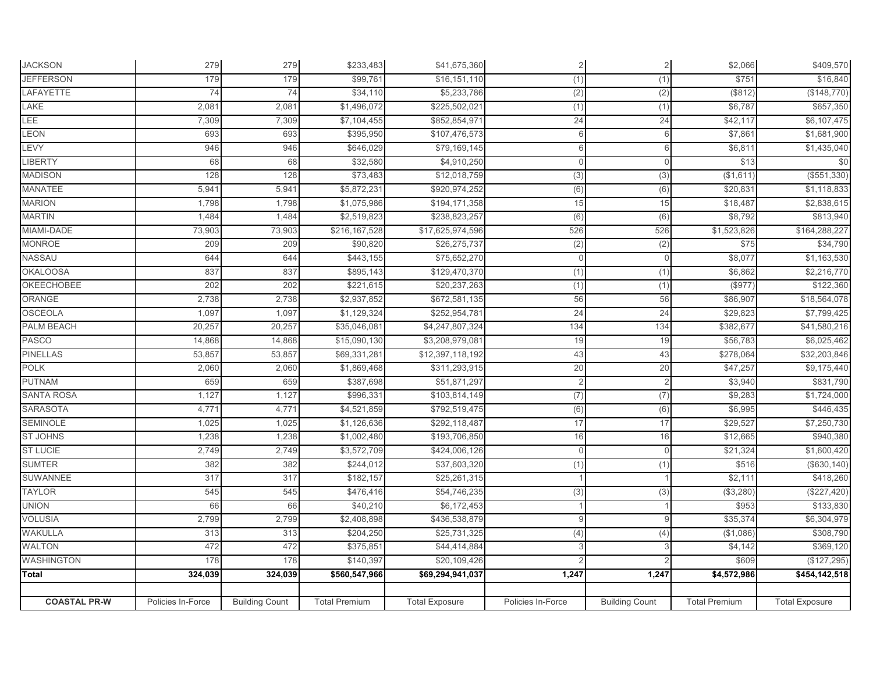| <b>JACKSON</b>      | 279               | 279                   | \$233,483            | \$41,675,360          | $\overline{2}$    | $\overline{a}$        | \$2,066                 | \$409,570             |
|---------------------|-------------------|-----------------------|----------------------|-----------------------|-------------------|-----------------------|-------------------------|-----------------------|
| <b>JEFFERSON</b>    | 179               | 179                   | \$99,761             | \$16,151,110          | (1)               | (1)                   | \$751                   | \$16,840              |
| LAFAYETTE           | 74                | 74                    | \$34,110             | \$5,233,786           | (2)               | (2)                   | (\$812)                 | (\$148,770)           |
| LAKE                | 2,081             | 2,081                 | \$1,496,072          | \$225,502,021         | (1)               | (1)                   | \$6,787                 | \$657,350             |
| LEE                 | 7,309             | 7,309                 | \$7,104,455          | \$852,854,971         | 24                | 24                    | \$42,117                | \$6,107,475           |
| LEON                | 693               | 693                   | \$395,950            | \$107,476,573         | 6                 | 6                     | \$7,861                 | \$1,681,900           |
| LEVY                | 946               | 946                   | \$646,029            | \$79,169,145          | 6                 | 6                     | \$6,811                 | \$1,435,040           |
| <b>LIBERTY</b>      | 68                | 68                    | \$32,580             | \$4,910,250           | $\mathbf{0}$      | $\mathbf{0}$          | \$13                    | \$0                   |
| <b>MADISON</b>      | 128               | 128                   | \$73,483             | \$12,018,759          | (3)               | (3)                   | (\$1,611)               | (\$551,330)           |
| <b>MANATEE</b>      | 5,941             | 5,941                 | \$5,872,231          | \$920,974,252         | (6)               | (6)                   | \$20,831                | \$1,118,833           |
| <b>MARION</b>       | 1,798             | 1,798                 | \$1,075,986          | \$194,171,358         | 15                | 15                    | \$18,487                | \$2,838,615           |
| <b>MARTIN</b>       | 1,484             | 1,484                 | \$2,519,823          | \$238,823,257         | (6)               | $\overline{(6)}$      | \$8,792                 | \$813,940             |
| MIAMI-DADE          | 73,903            | 73,903                | \$216,167,528        | \$17,625,974,596      | 526               | 526                   | \$1,523,826             | \$164,288,227         |
| <b>MONROE</b>       | 209               | 209                   | \$90,820             | \$26,275,737          | (2)               | (2)                   | \$75                    | \$34,790              |
| NASSAU              | 644               | 644                   | \$443,155            | \$75,652,270          | $\overline{0}$    | $\overline{0}$        | \$8,077                 | \$1,163,530           |
| <b>OKALOOSA</b>     | 837               | 837                   | \$895,143            | \$129,470,370         | (1)               | (1)                   | \$6,862                 | \$2,216,770           |
| OKEECHOBEE          | 202               | 202                   | \$221,615            | \$20,237,263          | (1)               | (1)                   | (\$977)                 | \$122,360             |
| ORANGE              | 2,738             | 2,738                 | \$2,937,852          | \$672,581,135         | 56                | 56                    | \$86,907                | \$18,564,078          |
| <b>OSCEOLA</b>      | 1,097             | 1,097                 | \$1,129,324          | \$252,954,781         | 24                | 24                    | \$29,823                | \$7,799,425           |
| <b>PALM BEACH</b>   | 20,257            | 20,257                | \$35,046,081         | \$4,247,807,324       | 134               | 134                   | \$382,677               | \$41,580,216          |
| PASCO               | 14,868            | 14,868                | \$15,090,130         | \$3,208,979,081       | 19                | 19                    | \$56,783                | \$6,025,462           |
| <b>PINELLAS</b>     | 53,857            | 53,857                | \$69,331,281         | \$12,397,118,192      | 43                | 43                    | \$278,064               | \$32,203,846          |
| <b>POLK</b>         | 2,060             | 2,060                 | \$1,869,468          | \$311,293,915         | 20                | 20                    | \$47,257                | \$9,175,440           |
| <b>PUTNAM</b>       | 659               | 659                   | \$387,698            | \$51,871,297          | $\overline{2}$    | $\overline{2}$        | \$3,940                 | \$831,790             |
| <b>SANTA ROSA</b>   | 1,127             | 1,127                 | \$996,331            | \$103,814,149         | (7)               | (7)                   | \$9,283                 | \$1,724,000           |
| <b>SARASOTA</b>     | 4,771             | 4,771                 | \$4,521,859          | \$792,519,475         | (6)               | (6)                   | \$6,995                 | \$446,435             |
| <b>SEMINOLE</b>     | 1,025             | 1,025                 | \$1,126,636          | \$292,118,487         | 17                | 17                    | \$29,527                | \$7,250,730           |
| <b>ST JOHNS</b>     | 1,238             | 1,238                 | \$1,002,480          | \$193,706,850         | 16                | 16                    | \$12,665                | \$940,380             |
| <b>ST LUCIE</b>     | 2,749             | 2,749                 | \$3,572,709          | \$424,006,126         | $\mathbf 0$       | $\mathbf{0}$          | \$21,324                | \$1,600,420           |
| <b>SUMTER</b>       | 382               | 382                   | \$244,012            | \$37,603,320          | (1)               | (1)                   | \$516                   | (\$630, 140)          |
| SUWANNEE            | 317               | 317                   | \$182,157            | \$25,261,315          | $\mathbf{1}$      |                       | \$2,111                 | \$418,260             |
| <b>TAYLOR</b>       | 545               | 545                   | \$476,416            | \$54,746,235          | (3)               | (3)                   | (\$3,280)               | (\$227,420)           |
| <b>UNION</b>        | 66                | 66                    | \$40,210             | \$6,172,453           |                   |                       | \$953                   | \$133,830             |
| <b>VOLUSIA</b>      | 2,799             | 2,799                 | \$2,408,898          | \$436,538,879         | $\overline{9}$    | 9                     | \$35,374                | \$6,304,979           |
| <b>WAKULLA</b>      | 313               | 313                   | \$204,250            | \$25,731,325          | (4)               | (4)                   | (\$1,086)               | \$308,790             |
| <b>WALTON</b>       | 472               | 472                   | \$375,851            | \$44,414,884          | 3                 |                       | \$4,142                 | \$369,120             |
| <b>WASHINGTON</b>   | 178               | 178                   | \$140,397            | \$20,109,426          |                   |                       | \$609                   | (\$127, 295)          |
| Total               | 324,039           | 324,039               | \$560,547,966        | \$69,294,941,037      | 1,247             | 1,247                 | $\overline{$4,572,986}$ | \$454,142,518         |
|                     |                   |                       |                      |                       |                   |                       |                         |                       |
| <b>COASTAL PR-W</b> | Policies In-Force | <b>Building Count</b> | <b>Total Premium</b> | <b>Total Exposure</b> | Policies In-Force | <b>Building Count</b> | <b>Total Premium</b>    | <b>Total Exposure</b> |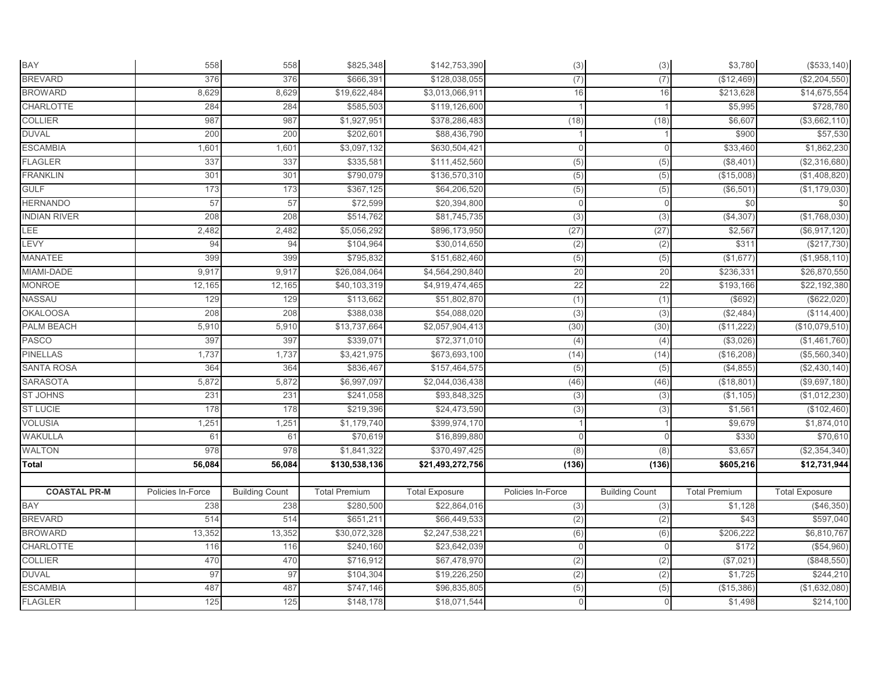| <b>BAY</b>          | 558               | 558                   | \$825,348            | \$142,753,390         | (3)               | (3)                   | \$3,780              | (\$533,140)           |
|---------------------|-------------------|-----------------------|----------------------|-----------------------|-------------------|-----------------------|----------------------|-----------------------|
| <b>BREVARD</b>      | 376               | 376                   | \$666,391            | \$128,038,055         | (7)               | (7)                   | (\$12,469)           | (\$2,204,550)         |
| <b>BROWARD</b>      | 8,629             | 8,629                 | \$19,622,484         | \$3,013,066,911       | 16                | 16                    | \$213,628            | \$14,675,554          |
| <b>CHARLOTTE</b>    | 284               | 284                   | \$585,503            | \$119,126,600         |                   |                       | \$5,995              | \$728,780             |
| <b>COLLIER</b>      | 987               | 987                   | \$1,927,951          | \$378,286,483         | (18)              | (18)                  | \$6,607              | (\$3,662,110)         |
| <b>DUVAL</b>        | 200               | 200                   | \$202,601            | \$88,436,790          |                   |                       | \$900                | \$57,530              |
| <b>ESCAMBIA</b>     | 1,601             | 1,601                 | \$3,097,132          | \$630,504,421         | $\mathbf{0}$      | $\mathbf 0$           | \$33,460             | \$1,862,230           |
| <b>FLAGLER</b>      | 337               | 337                   | \$335,581            | \$111,452,560         | (5)               | (5)                   | (\$8,401)            | (\$2,316,680)         |
| <b>FRANKLIN</b>     | 301               | 301                   | \$790,079            | \$136,570,310         | (5)               | (5)                   | (\$15,008)           | (\$1,408,820)         |
| <b>GULF</b>         | 173               | 173                   | \$367,125            | \$64,206,520          | (5)               | (5)                   | (\$6,501)            | (\$1,179,030)         |
| <b>HERNANDO</b>     | 57                | 57                    | \$72,599             | \$20,394,800          | $\Omega$          |                       | \$0                  | \$0                   |
| <b>INDIAN RIVER</b> | 208               | 208                   | \$514,762            | \$81,745,735          | (3)               | (3)                   | (\$4,307             | (\$1,768,030)         |
| LEE                 | 2,482             | 2,482                 | \$5,056,292          | \$896,173,950         | (27)              | (27)                  | \$2,567              | (\$6,917,120)         |
| LEVY                | 94                | 94                    | \$104,964            | \$30,014,650          | (2)               | (2)                   | \$311                | (\$217,730)           |
| MANATEE             | 399               | 399                   | \$795,832            | \$151,682,460         | (5)               | (5)                   | (\$1,677)            | (\$1,958,110)         |
| MIAMI-DADE          | 9,917             | 9,917                 | \$26,084,064         | \$4,564,290,840       | 20                | 20                    | \$236,331            | \$26,870,550          |
| <b>MONROE</b>       | 12,165            | 12,165                | \$40,103,319         | \$4,919,474,465       | 22                | 22                    | \$193,166            | \$22,192,380          |
| NASSAU              | 129               | 129                   | \$113,662            | \$51,802,870          | (1)               | (1)                   | (\$692)              | (\$622,020)           |
| <b>OKALOOSA</b>     | 208               | 208                   | \$388,038            | \$54,088,020          | (3)               | (3)                   | (\$2,484)            | (\$114,400)           |
| <b>PALM BEACH</b>   | 5,910             | 5,910                 | \$13,737,664         | \$2,057,904,413       | (30)              | (30)                  | (\$11,222)           | (\$10,079,510)        |
| <b>PASCO</b>        | 397               | 397                   | \$339,071            | \$72,371,010          | (4)               | (4)                   | (\$3,026             | (\$1,461,760)         |
| <b>PINELLAS</b>     | 1,737             | 1,737                 | \$3,421,975          | \$673,693,100         | (14)              | (14)                  | (\$16,208)           | (\$5,560,340)         |
| <b>SANTA ROSA</b>   | 364               | 364                   | \$836,467            | \$157,464,575         | (5)               | (5)                   | (\$4,855)            | (\$2,430,140)         |
| <b>SARASOTA</b>     | 5,872             | 5,872                 | \$6,997,097          | \$2,044,036,438       | (46)              | (46)                  | (\$18,801            | (\$9,697,180)         |
| <b>ST JOHNS</b>     | 231               | 231                   | \$241,058            | \$93,848,325          | (3)               | (3)                   | (\$1,105)            | (\$1,012,230)         |
| <b>ST LUCIE</b>     | 178               | 178                   | \$219,396            | \$24,473,590          | (3)               | (3)                   | \$1,561              | (\$102,460)           |
| <b>VOLUSIA</b>      | 1,251             | 1,251                 | \$1,179,740          | \$399,974,170         |                   |                       | \$9,679              | \$1,874,010           |
| <b>WAKULLA</b>      | 61                | 61                    | \$70,619             | \$16,899,880          | $\mathbf{0}$      |                       | \$330                | \$70,610              |
| <b>WALTON</b>       | 978               | 978                   | \$1,841,322          | \$370,497,425         | (8)               | (8)                   | \$3,657              | (\$2,354,340)         |
| <b>Total</b>        | 56,084            | 56,084                | \$130,538,136        | \$21,493,272,756      | (136)             | (136)                 | \$605,216            | \$12,731,944          |
|                     |                   |                       |                      |                       |                   |                       |                      |                       |
| <b>COASTAL PR-M</b> | Policies In-Force | <b>Building Count</b> | <b>Total Premium</b> | <b>Total Exposure</b> | Policies In-Force | <b>Building Count</b> | <b>Total Premium</b> | <b>Total Exposure</b> |
| <b>BAY</b>          | 238               | 238                   | \$280,500            | \$22,864,016          | (3)               | (3)                   | \$1,128              | (\$46,350)            |
| <b>BREVARD</b>      | 514               | 514                   | \$651,211            | \$66,449,533          | (2)               | (2)                   | \$43                 | \$597,040             |
| <b>BROWARD</b>      | 13,352            | 13,352                | \$30,072,328         | \$2,247,538,221       | (6)               | (6)                   | \$206,222            | \$6,810,767           |
| <b>CHARLOTTE</b>    | 116               | 116                   | \$240,160            | \$23,642,039          | $\Omega$          | $\bigcap$             | \$172                | (\$54,960)            |
| <b>COLLIER</b>      | 470               | 470                   | \$716,912            | \$67,478,970          | (2)               | (2)                   | (\$7,021)            | (\$848,550)           |
| <b>DUVAL</b>        | 97                | 97                    | \$104,304            | \$19,226,250          | (2)               | (2)                   | \$1,725              | \$244,210             |
| <b>ESCAMBIA</b>     | 487               | 487                   | \$747,146            | \$96,835,805          | (5)               | (5)                   | (\$15,386)           | (\$1,632,080)         |
| <b>FLAGLER</b>      | 125               | 125                   | \$148,178            | \$18,071,544          | $\Omega$          |                       | \$1,498              | \$214,100             |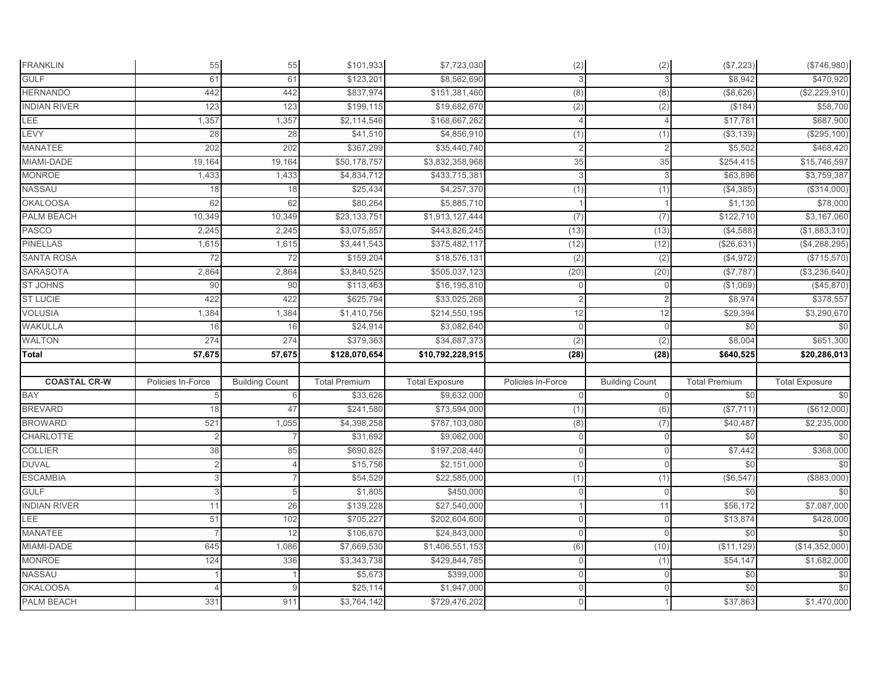| <b>FRANKLIN</b>     | 55                | 55                    | \$101,933               | \$7,723,030                  | (2)                 | (2)                   | (\$7,223)            | (\$746,980)           |
|---------------------|-------------------|-----------------------|-------------------------|------------------------------|---------------------|-----------------------|----------------------|-----------------------|
| <b>GULF</b>         | 61                | 61                    | \$123,201               | \$8,562,690                  | 3                   |                       | \$8,942              | \$470,920             |
| <b>HERNANDO</b>     | 442               | 442                   | \$837,974               | \$151,381,460                | (8)                 | (8)                   | (\$8,626)            | (\$2,229,910)         |
| <b>INDIAN RIVER</b> | 123               | 123                   | \$199,115               | \$19,682,670                 | (2)                 | (2)                   | (\$184)              | \$58,700              |
| LEE                 | 1,357             | 1,357                 | \$2,114,546             | \$168,667,262                | 4                   |                       | \$17,781             | \$687,900             |
| LEVY                | 28                | 28                    | \$41,510                | \$4,856,910                  | (1)                 | (1)                   | (\$3,139)            | (\$295, 100)          |
| <b>MANATEE</b>      | 202               | 202                   | \$367,299               | \$35,440,740                 | $\overline{2}$      | $\overline{2}$        | \$5,502              | \$468,420             |
| MIAMI-DADE          | 19,164            | 19,164                | \$50,178,757            | \$3,832,358,968              | 35                  | 35                    | \$254,415            | \$15,746,597          |
| <b>MONROE</b>       | 1,433             | 1,433                 | \$4,834,712             | \$433,715,381                | 3                   | 3                     | \$63,896             | \$3,759,387           |
| <b>NASSAU</b>       | 18                | 18                    | \$25,434                | \$4,257,370                  | (1)                 | (1)                   | (\$4,385)            | (\$314,000)           |
| <b>OKALOOSA</b>     | 62                | 62                    | \$80,264                | \$5,885,710                  |                     |                       | \$1,130              | \$78,000              |
| <b>PALM BEACH</b>   | 10,349            | 10,349                | \$23,133,751            | \$1,913,127,444              | (7)                 | (7)                   | \$122,710            | \$3,167,060           |
| PASCO               | 2,245             | 2,245                 | \$3,075,857             | \$443,826,245                | (13)                | (13)                  | (\$4,588)            | (\$1,883,310)         |
| <b>PINELLAS</b>     | 1,615             | 1,615                 | \$3,441,543             | \$375,482,117                | (12)                | (12)                  | (\$26,631            | (\$4,288,295)         |
| <b>SANTA ROSA</b>   | 72                | 72                    | \$159,204               | \$18,576,131                 | (2)                 | (2)                   | (\$4,972)            | (\$715,570)           |
| <b>SARASOTA</b>     | 2,864             | 2,864                 | \$3,840,525             | \$505,037,123                | (20)                | (20)                  | (\$7,787)            | (\$3,236,640)         |
| <b>ST JOHNS</b>     | 90                | 90                    | \$113,463               | \$16,195,810                 | $\boldsymbol{0}$    | $\mathbf 0$           | (\$1,069)            | (\$45,870)            |
| <b>ST LUCIE</b>     | 422               | 422                   | \$625,794               | \$33,025,268                 | $\overline{2}$      |                       | \$8,974              | \$378,557             |
| <b>VOLUSIA</b>      | 1,384             | 1,384                 | \$1,410,756             | \$214,550,195                | 12                  | 12                    | \$29,394             | \$3,290,670           |
| <b>WAKULLA</b>      | 16                | 16                    | \$24,914                | \$3,082,640                  | $\mathsf{O}\xspace$ | $\Omega$              | \$0                  | \$0                   |
| WALTON              | 274               | 274                   | \$379,363               | \$34,687,373                 | (2)                 | (2)                   | \$8,004              | \$651,300             |
| <b>Total</b>        | 57,675            | 57,675                | \$128,070,654           | \$10,792,228,915             | (28)                | (28)                  | \$640,525            | \$20,286,013          |
|                     |                   |                       |                         |                              |                     |                       |                      |                       |
| <b>COASTAL CR-W</b> | Policies In-Force | <b>Building Count</b> | <b>Total Premium</b>    | <b>Total Exposure</b>        | Policies In-Force   | <b>Building Count</b> | <b>Total Premium</b> | <b>Total Exposure</b> |
| BAY                 |                   |                       | \$33,626                | \$9,632,000                  | $\mathbf{0}$        | $\Omega$              | \$0                  | \$0                   |
| <b>BREVARD</b>      | 18                | 47                    | \$241,580               | \$73,594,000                 | (1)                 | (6)                   | (\$7,711             | (\$612,000)           |
| <b>BROWARD</b>      | 521               | 1,055                 | \$4,398,258             | \$787,103,080                | (8)                 | (7)                   | \$40,487             | \$2,235,000           |
| <b>CHARLOTTE</b>    |                   |                       | \$31,692                | \$9,062,000                  | $\mathbf 0$         | $\mathbf{0}$          | \$0                  | \$0                   |
| <b>COLLIER</b>      | 38                | 85                    | \$690,825               | \$197,208,440                | $\mathbf 0$         | $\mathbf{0}$          | \$7,442              | \$368,000             |
| <b>DUVAL</b>        |                   |                       | \$15,756                | \$2,151,000                  | $\mathbf{0}$        | $\overline{0}$        | \$0                  | \$0                   |
| <b>ESCAMBIA</b>     |                   |                       | \$54,529                | \$22,585,000                 | (1)                 | (1)                   | (\$6, 547            | (\$883,000)           |
| <b>GULF</b>         |                   | 5                     | \$1,805                 | \$450,000                    | $\mathbf 0$         | $\mathbf{0}$          | \$0                  | \$0                   |
| <b>INDIAN RIVER</b> | 11                | 26                    | \$139,228               | \$27,540,000                 |                     | 11                    | \$56,172             | \$7,087,000           |
| LEE                 | 51                | 102                   | \$705,227               | \$202,604,600                | $\mathbf{0}$        | $\mathbf{0}$          | \$13,874             | \$428,000             |
| <b>MANATEE</b>      |                   | 12                    | \$106,670               | \$24,843,000                 | $\mathbf 0$         | $\Omega$              | \$0                  | \$0                   |
| MIAMI-DADE          | 645               | 1,086                 | \$7,669,530             | \$1,406,551,153              | (6)                 | (10)                  | (\$11, 129)          | (\$14,352,000)        |
| <b>MONROE</b>       | 124               | 336                   | \$3,343,738             | \$429,844,785                | $\mathsf{O}\xspace$ | (1)                   | \$54,147             | \$1,682,000           |
| NASSAU              |                   |                       |                         |                              |                     |                       |                      |                       |
|                     |                   |                       | \$5,673                 | \$399,000                    | $\overline{0}$      | $\overline{0}$        | \$0                  | \$0                   |
| <b>OKALOOSA</b>     |                   |                       | \$25,114<br>\$3,764,142 | \$1,947,000<br>\$729,476,202 | $\mathbf 0$         | $\mathbf{0}$          | \$0<br>\$37,863      | \$0<br>\$1,470,000    |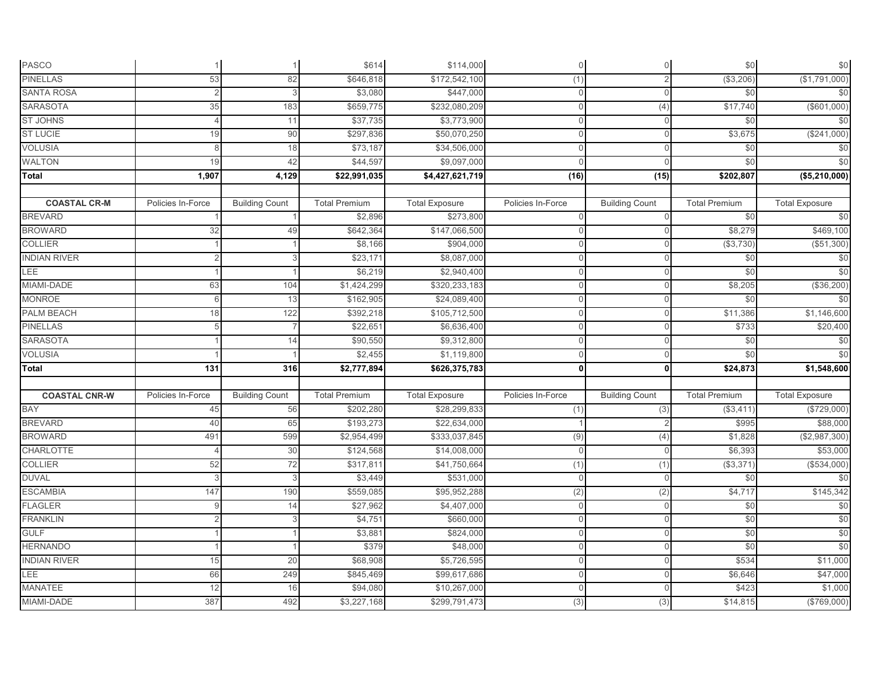| PASCO                |                   |                       | \$614                | \$114,000             | $\mathbf 0$       | $\overline{O}$        | \$0                  | \$0                   |
|----------------------|-------------------|-----------------------|----------------------|-----------------------|-------------------|-----------------------|----------------------|-----------------------|
| <b>PINELLAS</b>      | 53                | 82                    | \$646,818            | \$172,542,100         | (1)               | $\overline{2}$        | (\$3,206)            | (\$1,791,000)         |
| <b>SANTA ROSA</b>    |                   |                       | \$3,080              | \$447,000             | $\mathbf{0}$      | $\Omega$              | \$0                  | \$0                   |
| <b>SARASOTA</b>      | 35                | 183                   | \$659,775            | \$232,080,209         | $\mathbf{0}$      | (4)                   | \$17,740             | (\$601,000)           |
| <b>ST JOHNS</b>      | $\overline{4}$    | 11                    | \$37,735             | \$3,773,900           | $\Omega$          | $\Omega$              | \$0                  | \$0                   |
| <b>ST LUCIE</b>      | 19                | 90                    | \$297,836            | \$50,070,250          | $\mathbf{0}$      | $\Omega$              | \$3,675              | (\$241,000)           |
| <b>VOLUSIA</b>       | 8                 | 18                    | \$73,187             | \$34,506,000          | $\mathbf{0}$      | $\mathbf{0}$          | \$0                  | \$0                   |
| <b>WALTON</b>        | 19                | 42                    | \$44,597             | \$9,097,000           | $\Omega$          | $\Omega$              | \$0                  | \$0                   |
| Total                | 1,907             | 4,129                 | \$22,991,035         | \$4,427,621,719       | (16)              | (15)                  | \$202,807            | (\$5,210,000)         |
|                      |                   |                       |                      |                       |                   |                       |                      |                       |
| <b>COASTAL CR-M</b>  | Policies In-Force | <b>Building Count</b> | <b>Total Premium</b> | <b>Total Exposure</b> | Policies In-Force | <b>Building Count</b> | <b>Total Premium</b> | <b>Total Exposure</b> |
| <b>BREVARD</b>       |                   |                       | \$2,896              | \$273,800             | $\Omega$          |                       | \$0                  | \$0                   |
| <b>BROWARD</b>       | 32                | 49                    | \$642,364            | \$147,066,500         | $\mathbf{0}$      | $\Omega$              | \$8,279              | \$469,100             |
| <b>COLLIER</b>       |                   |                       | \$8,166              | \$904,000             | $\Omega$          |                       | (\$3,730)            | (\$51,300)            |
| <b>INDIAN RIVER</b>  |                   |                       | \$23,171             | \$8,087,000           | $\mathbf{0}$      | $\overline{0}$        | \$0                  | \$0                   |
| <b>LEE</b>           |                   |                       | \$6,219              | \$2,940,400           | $\mathbf 0$       | $\mathbf{0}$          | \$0                  | \$0                   |
| MIAMI-DADE           | 63                | 104                   | \$1,424,299          | \$320,233,183         | $\Omega$          | $\Omega$              | \$8,205              | (\$36,200)            |
| <b>MONROE</b>        | $\epsilon$        | 13                    | \$162,905            | \$24,089,400          | $\Omega$          | $\Omega$              | \$0                  | \$0                   |
| <b>PALM BEACH</b>    | 18                | 122                   | \$392,218            | \$105,712,500         | $\mathbf{0}$      | $\mathbf{0}$          | \$11,386             | \$1,146,600           |
| <b>PINELLAS</b>      |                   |                       | \$22,651             | \$6,636,400           | $\Omega$          | $\Omega$              | \$733                | \$20,400              |
| <b>SARASOTA</b>      |                   | 14                    | \$90,550             | \$9,312,800           | $\Omega$          | $\Omega$              | \$0                  | \$0                   |
| <b>VOLUSIA</b>       |                   |                       | \$2,455              | \$1,119,800           | $\Omega$          | $\Omega$              | \$0                  | \$0                   |
| Total                | 131               | 316                   | \$2,777,894          | \$626,375,783         | $\mathbf{0}$      | 0l                    | \$24,873             | \$1,548,600           |
|                      |                   |                       |                      |                       |                   |                       |                      |                       |
| <b>COASTAL CNR-W</b> | Policies In-Force | <b>Building Count</b> | <b>Total Premium</b> | <b>Total Exposure</b> | Policies In-Force | <b>Building Count</b> | <b>Total Premium</b> | <b>Total Exposure</b> |
| BAY                  | 45                | 56                    | \$202,280            | \$28,299,833          | (1)               | (3)                   | (\$3,411             | (\$729,000)           |
| <b>BREVARD</b>       | 40                | 65                    | \$193,273            | \$22,634,000          |                   |                       | \$995                | \$88,000              |
| <b>BROWARD</b>       | 491               | 599                   | \$2,954,499          | \$333,037,845         | (9)               | (4)                   | \$1,828              | (\$2,987,300)         |
| <b>CHARLOTTE</b>     |                   | 30                    | \$124,568            | \$14,008,000          | $\mathbf{0}$      | $\Omega$              | \$6,393              | \$53,000              |
| <b>COLLIER</b>       | 52                | 72                    | \$317,811            | \$41,750,664          | (1)               | (1)                   | (\$3,371)            | (\$534,000)           |
| <b>DUVAL</b>         | ß                 | 3                     | \$3,449              | \$531,000             | $\mathbf{0}$      | $\Omega$              | \$0                  | \$0                   |
| <b>ESCAMBIA</b>      | 147               | 190                   | \$559,085            | \$95,952,288          | (2)               | (2)                   | \$4,717              | \$145,342             |
| <b>FLAGLER</b>       |                   | 14                    | \$27,962             | \$4,407,000           | $\Omega$          | $\Omega$              | \$0                  | \$0                   |
| <b>FRANKLIN</b>      |                   | 3                     | \$4,751              | \$660,000             | $\mathbf 0$       | $\Omega$              | \$0                  | \$0                   |
| <b>GULF</b>          |                   |                       | \$3,881              | \$824,000             | $\Omega$          | $\mathbf{0}$          | \$0                  | \$0                   |
| <b>HERNANDO</b>      |                   |                       | \$379                | \$48,000              | $\mathbf 0$       | $\Omega$              | \$0                  | \$0                   |
| <b>INDIAN RIVER</b>  | 15                | 20                    | \$68,908             | \$5,726,595           | $\mathbf{0}$      | $\overline{0}$        | \$534                | \$11,000              |
| <b>LEE</b>           | 66                | 249                   | \$845,469            | \$99,617,686          | $\mathbf 0$       | $\mathbf{0}$          | \$6,646              | \$47,000              |
| <b>MANATEE</b>       | 12                | 16                    | \$94,080             | \$10,267,000          | $\Omega$          | $\Omega$              | \$423                | \$1,000               |
| MIAMI-DADE           | 387               | 492                   | \$3,227,168          | \$299,791,473         | (3)               | (3)                   | \$14,815             | (\$769,000)           |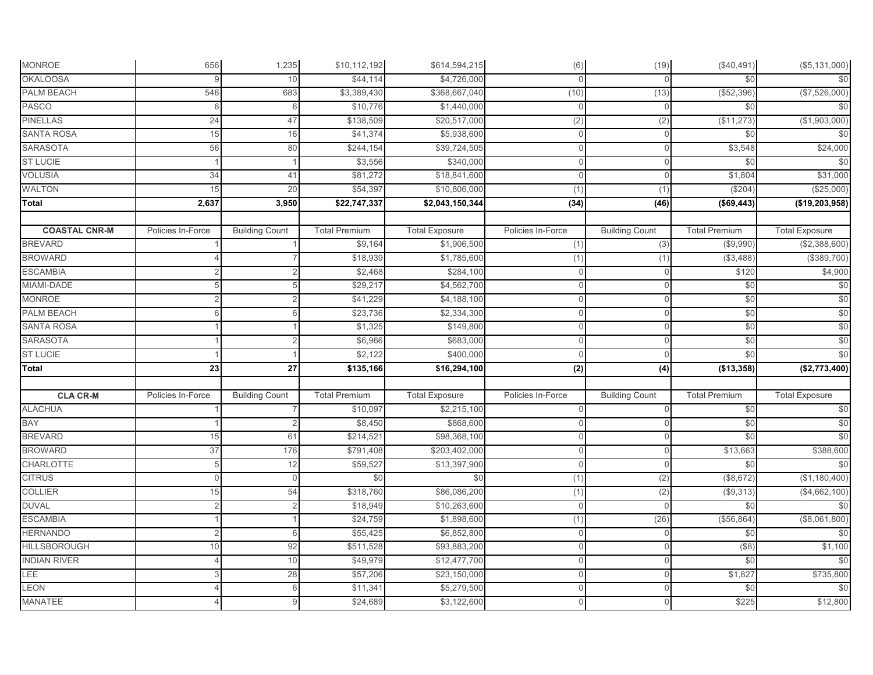| <b>MONROE</b>        | 656               | 1,235                 | \$10,112,192         | \$614,594,215         | (6)               | (19)                  | (\$40,491)           | (\$5,131,000)         |
|----------------------|-------------------|-----------------------|----------------------|-----------------------|-------------------|-----------------------|----------------------|-----------------------|
| <b>OKALOOSA</b>      |                   | 10                    | \$44,114             | \$4,726,000           | $\Omega$          | $\Omega$              | \$0                  | \$0                   |
| PALM BEACH           | 546               | 683                   | \$3,389,430          | \$368,667,040         | (10)              | (13)                  | (\$52,396)           | (\$7,526,000)         |
| <b>PASCO</b>         | 6                 | 6                     | \$10,776             | \$1,440,000           | $\mathbf{0}$      | $\mathbf{0}$          | \$0                  | \$0                   |
| <b>PINELLAS</b>      | 24                | 47                    | \$138,509            | \$20,517,000          | (2)               | (2)                   | (\$11,273)           | (\$1,903,000)         |
| <b>SANTA ROSA</b>    | 15                | 16                    | \$41,374             | \$5,938,600           | $\mathbf 0$       | $\mathbf 0$           | \$0                  | \$0                   |
| <b>SARASOTA</b>      | 56                | 80                    | \$244,154            | \$39,724,505          | $\mathbf{0}$      | $\mathbf{0}$          | \$3,548              | \$24,000              |
| <b>ST LUCIE</b>      |                   |                       | \$3,556              | \$340,000             | $\mathbf 0$       | $\overline{0}$        | \$0                  | \$0                   |
| <b>VOLUSIA</b>       | 34                | 41                    | \$81,272             | \$18,841,600          | $\mathbf 0$       | $\Omega$              | \$1,804              | \$31,000              |
| <b>WALTON</b>        | 15                | 20                    | \$54,397             | \$10,806,000          | (1)               | (1)                   | (\$204)              | (\$25,000)            |
| Total                | 2,637             | 3,950                 | \$22,747,337         | \$2,043,150,344       | (34)              | (46)                  | (\$69,443)           | (\$19,203,958)        |
|                      |                   |                       |                      |                       |                   |                       |                      |                       |
| <b>COASTAL CNR-M</b> | Policies In-Force | <b>Building Count</b> | <b>Total Premium</b> | <b>Total Exposure</b> | Policies In-Force | <b>Building Count</b> | <b>Total Premium</b> | <b>Total Exposure</b> |
| <b>BREVARD</b>       |                   |                       | \$9,164              | \$1,906,500           | (1)               | (3)                   | (\$9,990)            | (\$2,388,600)         |
| <b>BROWARD</b>       |                   |                       | \$18,939             | \$1,785,600           | (1)               | (1)                   | (\$3,488)            | (\$389,700)           |
| <b>ESCAMBIA</b>      |                   |                       | \$2,468              | \$284,100             | $\mathbf{0}$      | $\mathbf 0$           | \$120                | \$4,900               |
| MIAMI-DADE           |                   |                       | \$29,217             | \$4,562,700           | $\mathbf{0}$      | $\mathbf{0}$          | \$0                  | \$0                   |
| <b>MONROE</b>        |                   |                       | \$41,229             | \$4,188,100           | $\mathbf 0$       | $\mathbf{0}$          | \$0                  | \$0                   |
| <b>PALM BEACH</b>    |                   |                       | \$23,736             | \$2,334,300           | $\mathbf{0}$      | $\mathbf{0}$          | \$0                  | \$0                   |
| <b>SANTA ROSA</b>    |                   |                       | \$1,325              | \$149,800             | $\mathbb O$       | $\mathbf{0}$          | \$0                  | \$0                   |
| <b>SARASOTA</b>      |                   |                       | \$6,966              | \$683,000             | $\mathbf{0}$      | $\Omega$              | \$0                  | \$0                   |
| <b>ST LUCIE</b>      |                   |                       | \$2,122              | \$400,000             | $\mathbf{0}$      | $\overline{0}$        | \$0                  | \$0                   |
| <b>Total</b>         | 23                | $\overline{27}$       | \$135,166            | \$16,294,100          | (2)               | (4)                   | (\$13,358)           | (\$2,773,400)         |
|                      |                   |                       |                      |                       |                   |                       |                      |                       |
| <b>CLA CR-M</b>      | Policies In-Force | <b>Building Count</b> | <b>Total Premium</b> | <b>Total Exposure</b> | Policies In-Force | <b>Building Count</b> | <b>Total Premium</b> | <b>Total Exposure</b> |
| <b>ALACHUA</b>       |                   |                       | \$10,097             | \$2,215,100           | $\mathbf 0$       | $\overline{0}$        | \$0                  | \$0                   |
| <b>BAY</b>           |                   |                       | \$8,450              | \$868,600             | $\mathbb O$       | $\Omega$              | \$0                  | \$0                   |
| <b>BREVARD</b>       | 15                | 61                    | \$214,521            | \$98,368,100          | $\mathbf 0$       | $\mathbf{0}$          | \$0                  | \$0                   |
| <b>BROWARD</b>       | 37                | 176                   | \$791,408            | \$203,402,000         | $\mathbf{0}$      | $\mathbf{0}$          | \$13,663             | \$388,600             |
| <b>CHARLOTTE</b>     | 5                 | 12                    | \$59,527             | \$13,397,900          | $\mathbf 0$       | $\mathbf{0}$          | \$0                  | \$0                   |
| <b>CITRUS</b>        | $\Omega$          | $\Omega$              | \$0                  | \$0                   | (1)               | (2)                   | (\$8,672)            | (\$1,180,400)         |
| <b>COLLIER</b>       | 15                | 54                    | \$318,760            | \$86,086,200          | (1)               | (2)                   | (\$9,313)            | (\$4,662,100)         |
| <b>DUVAL</b>         | 2                 | $\overline{2}$        | \$18,949             | \$10,263,600          | $\mathbf{0}$      | $\Omega$              | \$0                  | \$0                   |
| <b>ESCAMBIA</b>      |                   |                       | \$24,759             | \$1,898,600           | (1)               | (26)                  | (\$56,864            | (\$8,061,800)         |
| <b>HERNANDO</b>      |                   | 6                     | \$55,425             | \$6,852,800           | $\mathbf 0$       | $\mathbf{0}$          | \$0                  | \$0                   |
| <b>HILLSBOROUGH</b>  | 10                | 92                    | \$511,528            | \$93,883,200          | $\mathbf 0$       | $\mathbf 0$           | $($ \$8)             | \$1,100               |
| <b>INDIAN RIVER</b>  |                   | 10                    | \$49,979             | \$12,477,700          | $\mathbf{0}$      | $\mathbf{0}$          | \$0                  | \$0                   |
| LEE                  |                   | 28                    | \$57,206             | \$23,150,000          | $\mathbf 0$       | $\mathbf{0}$          | \$1,827              | \$735,800             |
| <b>LEON</b>          |                   |                       | \$11,341             | \$5,279,500           | $\mathbf 0$       | $\Omega$              | \$0                  | \$0                   |
| <b>MANATEE</b>       |                   |                       | \$24,689             | \$3,122,600           | $\overline{0}$    | $\mathbf{0}$          | \$225                | \$12,800              |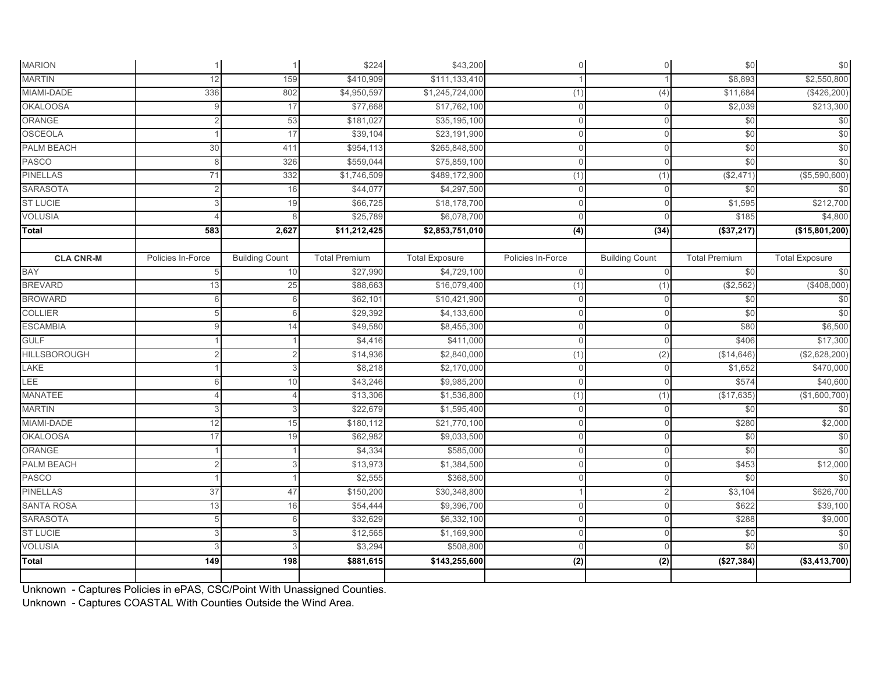| <b>MARION</b>       |                   |                       | \$224                | \$43,200              | $\mathsf{O}\xspace$ | $\overline{0}$        | \$0                  | \$0                   |
|---------------------|-------------------|-----------------------|----------------------|-----------------------|---------------------|-----------------------|----------------------|-----------------------|
| <b>MARTIN</b>       | 12                | 159                   | \$410,909            | \$111,133,410         |                     |                       | \$8,893              | \$2,550,800           |
| MIAMI-DADE          | 336               | 802                   | \$4,950,597          | \$1,245,724,000       | (1)                 | (4)                   | \$11,684             | (\$426,200)           |
| <b>OKALOOSA</b>     |                   | 17                    | \$77,668             | \$17,762,100          | $\mathbf 0$         | $\Omega$              | \$2,039              | \$213,300             |
| ORANGE              |                   | 53                    | \$181,027            | \$35,195,100          | $\Omega$            | $\Omega$              | \$0                  | \$0                   |
| <b>OSCEOLA</b>      |                   | 17                    | \$39,104             | \$23,191,900          | $\Omega$            | $\Omega$              | \$0                  | \$0                   |
| <b>PALM BEACH</b>   | 30                | 411                   | \$954,113            | \$265,848,500         | $\mathbf 0$         | $\mathbf{0}$          | \$0                  | \$0                   |
| <b>PASCO</b>        |                   | 326                   | \$559,044            | \$75,859,100          | $\Omega$            | $\Omega$              | \$0                  | \$0                   |
| <b>PINELLAS</b>     | 71                | 332                   | \$1,746,509          | \$489,172,900         | (1)                 | (1)                   | (\$2,471             | (\$5,590,600)         |
| <b>SARASOTA</b>     | $\overline{2}$    | 16                    | \$44,077             | \$4,297,500           | $\mathbf 0$         | $\Omega$              | \$0                  | \$0                   |
| <b>ST LUCIE</b>     |                   | 19                    | \$66,725             | \$18,178,700          | $\mathbf{0}$        | $\Omega$              | \$1,595              | \$212,700             |
| <b>VOLUSIA</b>      |                   |                       | \$25,789             | \$6,078,700           | $\Omega$            |                       | \$185                | \$4,800               |
| Total               | 583               | 2,627                 | \$11,212,425         | \$2,853,751,010       | (4)                 | (34)                  | (\$37,217)           | (\$15,801,200)        |
|                     |                   |                       |                      |                       |                     |                       |                      |                       |
| <b>CLA CNR-M</b>    | Policies In-Force | <b>Building Count</b> | <b>Total Premium</b> | <b>Total Exposure</b> | Policies In-Force   | <b>Building Count</b> | <b>Total Premium</b> | <b>Total Exposure</b> |
| <b>BAY</b>          | 5                 | 10                    | \$27,990             | \$4,729,100           | $\mathbf{0}$        | $\Omega$              | \$0                  | \$0                   |
| <b>BREVARD</b>      | 13                | 25                    | \$88,663             | \$16,079,400          | (1)                 | (1)                   | (\$2,562)            | (\$408,000)           |
| <b>BROWARD</b>      |                   |                       | \$62,101             | \$10,421,900          | $\mathbf 0$         | $\Omega$              | \$0                  | \$0                   |
| <b>COLLIER</b>      |                   |                       | \$29,392             | \$4,133,600           | $\Omega$            | $\Omega$              | \$0                  | \$0                   |
| <b>ESCAMBIA</b>     |                   | 14                    | \$49,580             | \$8,455,300           | $\mathbf{0}$        | $\Omega$              | \$80                 | \$6,500               |
| <b>GULF</b>         |                   |                       | \$4,416              | \$411,000             | $\Omega$            | $\Omega$              | \$406                | \$17,300              |
| <b>HILLSBOROUGH</b> |                   |                       | \$14,936             | \$2,840,000           | (1)                 | (2)                   | (\$14,646)           | (\$2,628,200)         |
| LAKE                |                   |                       | \$8,218              | \$2,170,000           | $\mathbf 0$         | $\mathbf{0}$          | \$1,652              | \$470,000             |
| <b>LEE</b>          |                   | 10                    | \$43,246             | \$9,985,200           | $\mathbf{0}$        | $\Omega$              | \$574                | \$40,600              |
| MANATEE             |                   |                       | \$13,306             | \$1,536,800           | (1)                 | (1)                   | (\$17,635)           | (\$1,600,700)         |
| <b>MARTIN</b>       |                   |                       | \$22,679             | \$1,595,400           | $\mathbf{0}$        | $\Omega$              | \$0                  | \$0                   |
| MIAMI-DADE          | 12                | 15                    | \$180,112            | \$21,770,100          | $\mathbf{0}$        | $\Omega$              | \$280                | \$2,000               |
| <b>OKALOOSA</b>     | 17                | 19                    | \$62,982             | \$9,033,500           | $\mathbf{0}$        | $\Omega$              | \$0                  | \$0                   |
| ORANGE              |                   |                       | \$4,334              | \$585,000             | $\Omega$            |                       | \$0                  | \$0                   |
| PALM BEACH          |                   |                       | \$13,973             | \$1,384,500           | $\Omega$            | $\Omega$              | \$453                | \$12,000              |
| <b>PASCO</b>        |                   |                       | \$2,555              | \$368,500             | $\Omega$            | $\Omega$              | \$0                  | \$0                   |
| <b>PINELLAS</b>     | 37                | 47                    | \$150,200            | \$30,348,800          |                     |                       | \$3,104              | \$626,700             |
| <b>SANTA ROSA</b>   | 13                | 16                    | \$54,444             | \$9,396,700           | $\Omega$            | $\Omega$              | \$622                | \$39,100              |
| <b>SARASOTA</b>     |                   | F                     | \$32,629             | \$6,332,100           | $\Omega$            | $\Omega$              | \$288                | \$9,000               |
| <b>ST LUCIE</b>     |                   |                       | \$12,565             | \$1,169,900           | $\Omega$            | $\Omega$              | \$0                  | \$0                   |
| <b>VOLUSIA</b>      |                   |                       | \$3,294              | \$508,800             | $\Omega$            | $\Omega$              | \$0                  | \$0                   |
| Total               | 149               | 198                   | \$881,615            | \$143,255,600         | $\overline{2}$      | (2)                   | (\$27,384)           | ( \$3,413,700)        |
|                     |                   |                       |                      |                       |                     |                       |                      |                       |

Unknown - Captures Policies in ePAS, CSC/Point With Unassigned Counties.

Unknown - Captures COASTAL With Counties Outside the Wind Area.